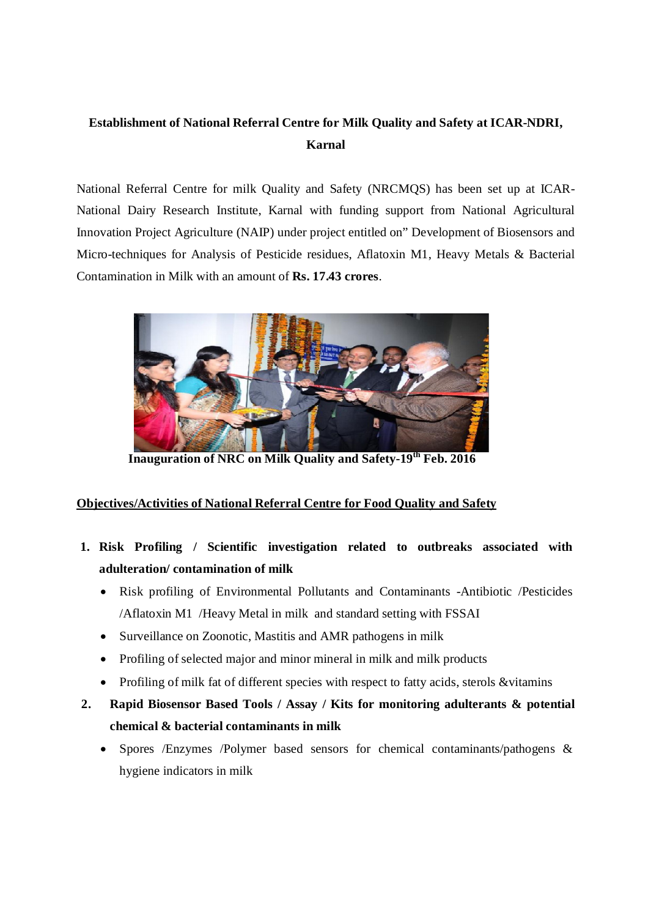## **Establishment of National Referral Centre for Milk Quality and Safety at ICAR-NDRI, Karnal**

National Referral Centre for milk Quality and Safety (NRCMQS) has been set up at ICAR-National Dairy Research Institute, Karnal with funding support from National Agricultural Innovation Project Agriculture (NAIP) under project entitled on" Development of Biosensors and Micro-techniques for Analysis of Pesticide residues, Aflatoxin M1, Heavy Metals & Bacterial Contamination in Milk with an amount of **Rs. 17.43 crores**.



**Inauguration of NRC on Milk Quality and Safety-19th Feb. 2016**

### **Objectives/Activities of National Referral Centre for Food Quality and Safety**

- **1. Risk Profiling / Scientific investigation related to outbreaks associated with adulteration/ contamination of milk** 
	- Risk profiling of Environmental Pollutants and Contaminants -Antibiotic /Pesticides /Aflatoxin M1 /Heavy Metal in milk and standard setting with FSSAI
	- Surveillance on Zoonotic, Mastitis and AMR pathogens in milk
	- Profiling of selected major and minor mineral in milk and milk products
	- Profiling of milk fat of different species with respect to fatty acids, sterols &vitamins
- **2. Rapid Biosensor Based Tools / Assay / Kits for monitoring adulterants & potential chemical & bacterial contaminants in milk**
	- Spores /Enzymes /Polymer based sensors for chemical contaminants/pathogens & hygiene indicators in milk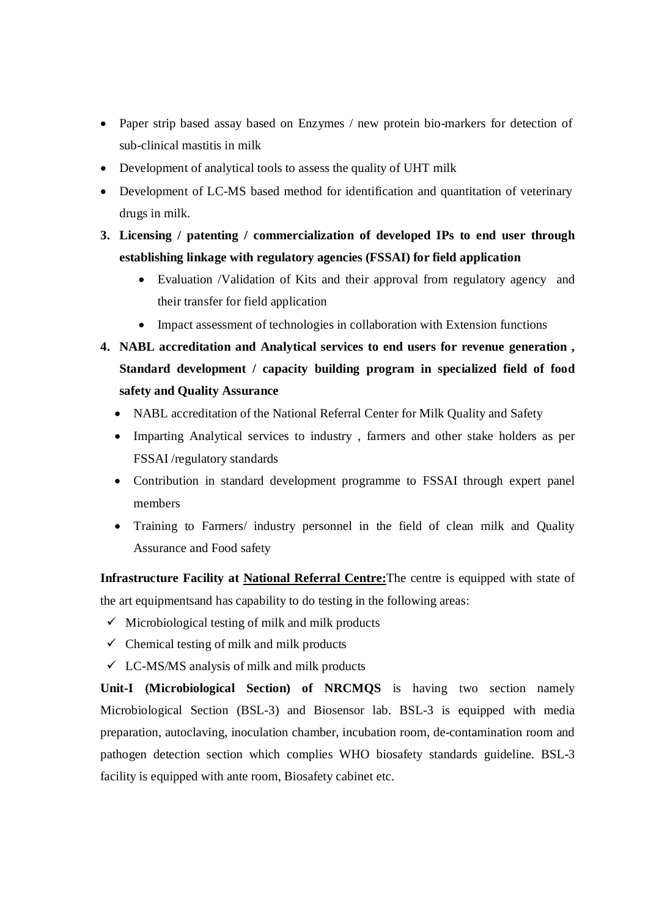- Paper strip based assay based on Enzymes / new protein bio-markers for detection of sub-clinical mastitis in milk
- Development of analytical tools to assess the quality of UHT milk
- Development of LC-MS based method for identification and quantitation of veterinary drugs in milk.

### **3. Licensing / patenting / commercialization of developed IPs to end user through establishing linkage with regulatory agencies (FSSAI) for field application**

- Evaluation /Validation of Kits and their approval from regulatory agency and their transfer for field application
- Impact assessment of technologies in collaboration with Extension functions
- **4. NABL accreditation and Analytical services to end users for revenue generation , Standard development / capacity building program in specialized field of food safety and Quality Assurance** 
	- NABL accreditation of the National Referral Center for Milk Quality and Safety
	- Imparting Analytical services to industry , farmers and other stake holders as per FSSAI /regulatory standards
	- Contribution in standard development programme to FSSAI through expert panel members
	- Training to Farmers/ industry personnel in the field of clean milk and Quality Assurance and Food safety

**Infrastructure Facility at National Referral Centre:**The centre is equipped with state of the art equipmentsand has capability to do testing in the following areas:

- $\checkmark$  Microbiological testing of milk and milk products
- $\checkmark$  Chemical testing of milk and milk products
- $\checkmark$  LC-MS/MS analysis of milk and milk products

**Unit-I (Microbiological Section) of NRCMQS** is having two section namely Microbiological Section (BSL-3) and Biosensor lab. BSL-3 is equipped with media preparation, autoclaving, inoculation chamber, incubation room, de-contamination room and pathogen detection section which complies WHO biosafety standards guideline. BSL-3 facility is equipped with ante room, Biosafety cabinet etc.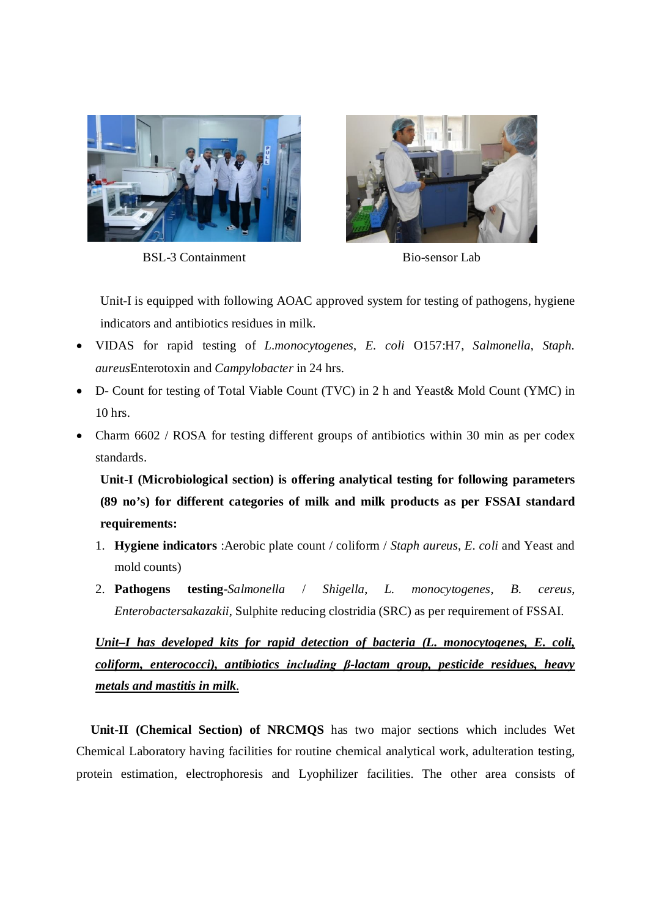





Unit-I is equipped with following AOAC approved system for testing of pathogens, hygiene indicators and antibiotics residues in milk.

- VIDAS for rapid testing of *L.monocytogenes*, *E. coli* O157:H7, *Salmonella*, *Staph. aureus*Enterotoxin and *Campylobacter* in 24 hrs.
- D- Count for testing of Total Viable Count (TVC) in 2 h and Yeast& Mold Count (YMC) in 10 hrs.
- Charm 6602 / ROSA for testing different groups of antibiotics within 30 min as per codex standards.

**Unit-I (Microbiological section) is offering analytical testing for following parameters (89 no's) for different categories of milk and milk products as per FSSAI standard requirements:**

- 1. **Hygiene indicators** :Aerobic plate count / coliform / *Staph aureus*, *E. coli* and Yeast and mold counts)
- 2. **Pathogens testing**-*Salmonella* / *Shigella*, *L. monocytogenes*, *B. cereus*, *Enterobactersakazakii*, Sulphite reducing clostridia (SRC) as per requirement of FSSAI.

*Unit–I has developed kits for rapid detection of bacteria (L. monocytogenes, E. coli, coliform, enterococci), antibiotics including β-lactam group, pesticide residues, heavy metals and mastitis in milk.*

**Unit-II (Chemical Section) of NRCMQS** has two major sections which includes Wet Chemical Laboratory having facilities for routine chemical analytical work, adulteration testing, protein estimation, electrophoresis and Lyophilizer facilities. The other area consists of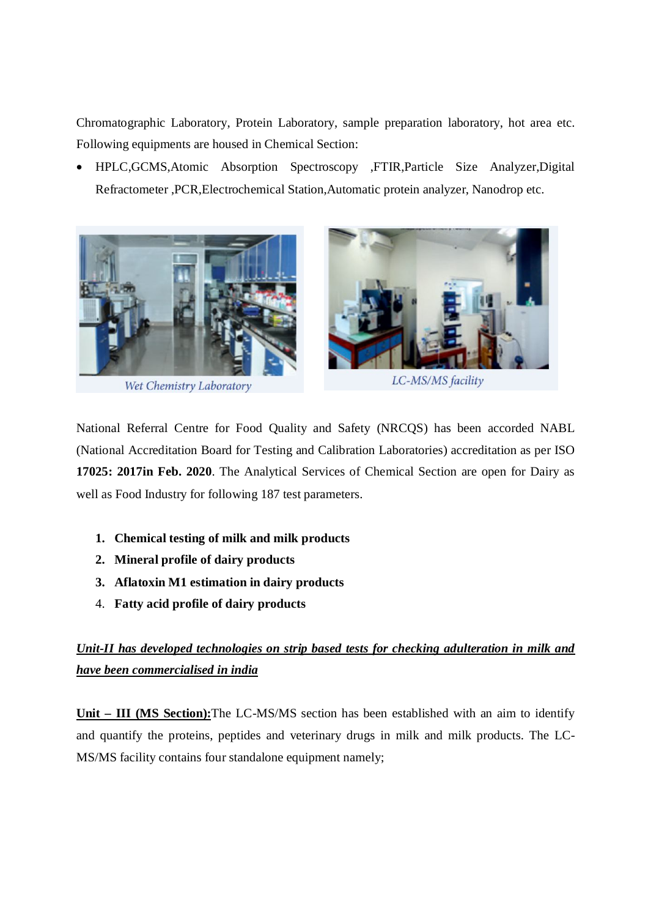Chromatographic Laboratory, Protein Laboratory, sample preparation laboratory, hot area etc. Following equipments are housed in Chemical Section:

 HPLC,GCMS,Atomic Absorption Spectroscopy ,FTIR,Particle Size Analyzer,Digital Refractometer ,PCR,Electrochemical Station,Automatic protein analyzer, Nanodrop etc.



Wet Chemistry Laboratory



LC-MS/MS facility

National Referral Centre for Food Quality and Safety (NRCQS) has been accorded NABL (National Accreditation Board for Testing and Calibration Laboratories) accreditation as per ISO **17025: 2017in Feb. 2020**. The Analytical Services of Chemical Section are open for Dairy as well as Food Industry for following 187 test parameters.

- **1. Chemical testing of milk and milk products**
- **2. Mineral profile of dairy products**
- **3. Aflatoxin M1 estimation in dairy products**
- 4. **Fatty acid profile of dairy products**

# *Unit-II has developed technologies on strip based tests for checking adulteration in milk and have been commercialised in india*

**Unit – III (MS Section):**The LC-MS/MS section has been established with an aim to identify and quantify the proteins, peptides and veterinary drugs in milk and milk products. The LC-MS/MS facility contains four standalone equipment namely;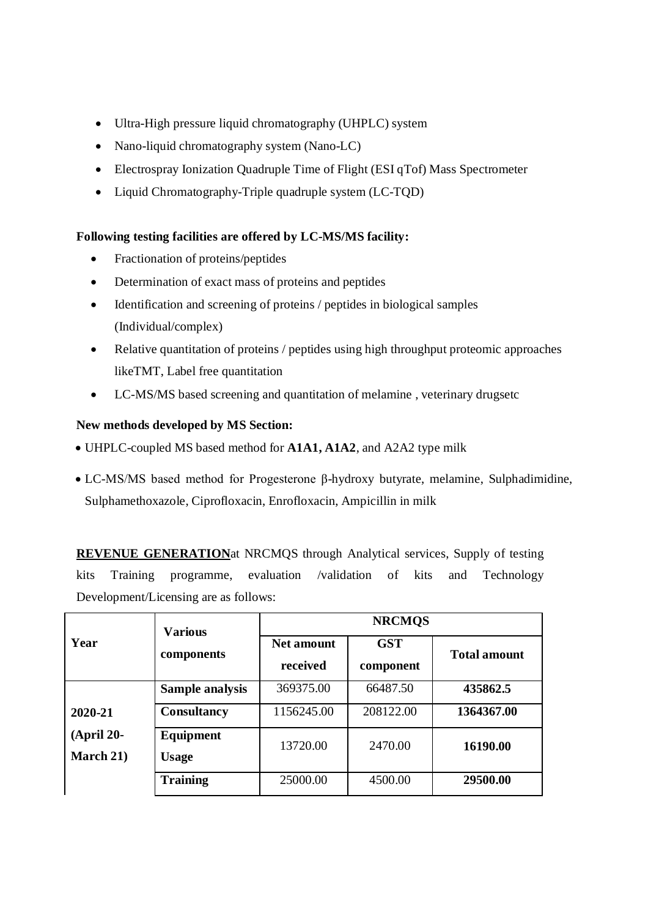- Ultra-High pressure liquid chromatography (UHPLC) system
- Nano-liquid chromatography system (Nano-LC)
- Electrospray Ionization Quadruple Time of Flight (ESI qTof) Mass Spectrometer
- Liquid Chromatography-Triple quadruple system (LC-TQD)

### **Following testing facilities are offered by LC-MS/MS facility:**

- Fractionation of proteins/peptides
- Determination of exact mass of proteins and peptides
- Identification and screening of proteins / peptides in biological samples (Individual/complex)
- Relative quantitation of proteins / peptides using high throughput proteomic approaches likeTMT, Label free quantitation
- LC-MS/MS based screening and quantitation of melamine , veterinary drugsetc

#### **New methods developed by MS Section:**

- UHPLC-coupled MS based method for **A1A1, A1A2**, and A2A2 type milk
- LC-MS/MS based method for Progesterone β-hydroxy butyrate, melamine, Sulphadimidine, Sulphamethoxazole, Ciprofloxacin, Enrofloxacin, Ampicillin in milk

**REVENUE GENERATION**at NRCMQS through Analytical services, Supply of testing kits Training programme, evaluation /validation of kits and Technology Development/Licensing are as follows:

| Year                      | <b>Various</b><br>components | <b>NRCMQS</b>                 |                         |                     |
|---------------------------|------------------------------|-------------------------------|-------------------------|---------------------|
|                           |                              | <b>Net amount</b><br>received | <b>GST</b><br>component | <b>Total amount</b> |
|                           | Sample analysis              | 369375.00                     | 66487.50                | 435862.5            |
| 2020-21                   | <b>Consultancy</b>           | 1156245.00                    | 208122.00               | 1364367.00          |
| $(April 20-$<br>March 21) | Equipment<br><b>Usage</b>    | 13720.00                      | 2470.00                 | 16190.00            |
|                           | <b>Training</b>              | 25000.00                      | 4500.00                 | 29500.00            |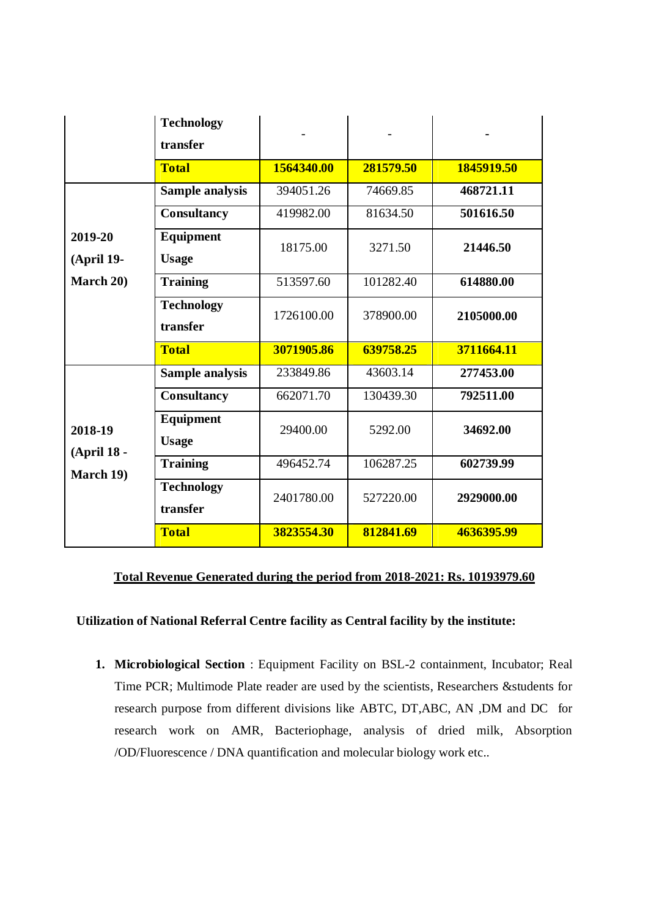|                                           | <b>Technology</b><br>transfer |            |           |            |
|-------------------------------------------|-------------------------------|------------|-----------|------------|
|                                           | <b>Total</b>                  | 1564340.00 | 281579.50 | 1845919.50 |
| 2019-20<br><b>(April 19-</b><br>March 20) | <b>Sample analysis</b>        | 394051.26  | 74669.85  | 468721.11  |
|                                           | Consultancy                   | 419982.00  | 81634.50  | 501616.50  |
|                                           | Equipment<br><b>Usage</b>     | 18175.00   | 3271.50   | 21446.50   |
|                                           | <b>Training</b>               | 513597.60  | 101282.40 | 614880.00  |
|                                           | <b>Technology</b><br>transfer | 1726100.00 | 378900.00 | 2105000.00 |
|                                           | <b>Total</b>                  | 3071905.86 | 639758.25 | 3711664.11 |
| 2018-19<br>(April 18 -<br>March 19)       | Sample analysis               | 233849.86  | 43603.14  | 277453.00  |
|                                           | Consultancy                   | 662071.70  | 130439.30 | 792511.00  |
|                                           | Equipment<br><b>Usage</b>     | 29400.00   | 5292.00   | 34692.00   |
|                                           | <b>Training</b>               | 496452.74  | 106287.25 | 602739.99  |
|                                           | <b>Technology</b><br>transfer | 2401780.00 | 527220.00 | 2929000.00 |
|                                           | <b>Total</b>                  | 3823554.30 | 812841.69 | 4636395.99 |

#### **Total Revenue Generated during the period from 2018-2021: Rs. 10193979.60**

#### **Utilization of National Referral Centre facility as Central facility by the institute:**

**1. Microbiological Section** : Equipment Facility on BSL-2 containment, Incubator; Real Time PCR; Multimode Plate reader are used by the scientists, Researchers &students for research purpose from different divisions like ABTC, DT,ABC, AN ,DM and DC for research work on AMR, Bacteriophage, analysis of dried milk, Absorption /OD/Fluorescence / DNA quantification and molecular biology work etc..